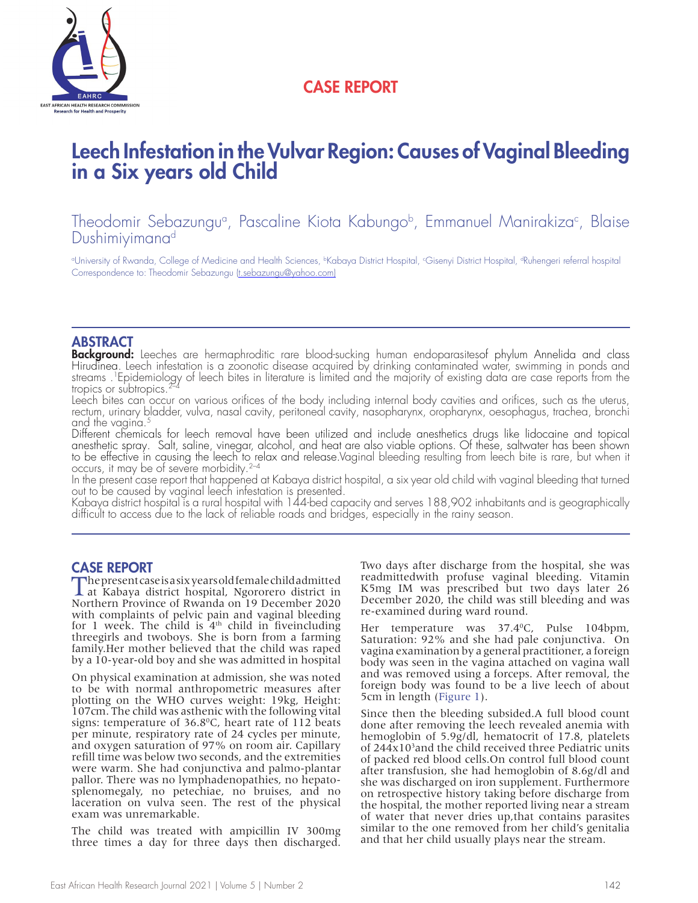

## CASE REPORT

# Leech Infestation in the Vulvar Region: Causes of Vaginal Bleeding in a Six years old Child

Theodomir Sebazungu<sup>a</sup>, Pascaline Kiota Kabungo<sup>b</sup>, Emmanuel Manirakiza<sup>c</sup>, Blaise Dushimiyimana<sup>d</sup>

°University of Rwanda, College of Medicine and Health Sciences, <sup>ь</sup>Kabaya District Hospital, <sup>c</sup>Gisenyi District Hospital, <sup>a</sup>Ruhengeri referral hospital Correspondence to: Theodomir Sebazungu (t.sebazungu@yahoo.com)

### ABSTRACT

Background: Leeches are hermaphroditic rare blood-sucking human endoparasitesof phylum Annelida and class<br>Hirudinea. Leech infestation is a zoonotic disease acquired by drinking contaminated water, swimming in ponds and streams .<sup>1</sup>Epidemiology of leech bites in literature is limited and the majority of existing data are case reports from the tropics or subtropics.<sup>2–4</sup>

Leech bites can occur on various orifices of the body including internal body cavities and orifices, such as the uterus, rectum, urinary bladder, vulva, nasal cavity, peritoneal cavity, nasopharynx, oropharynx, oesophagus, trachea, bronchi and the vagina.<sup>5</sup>

Different chemicals for leech removal have been utilized and include anesthetics drugs like lidocaine and topical anesthetic spray. Salt, saline, vinegar, alcohol, and heat are also viable options. Of these, saltwater has been shown to be effective in causing the leech to relax and release.Vaginal bleeding resulting from leech bite is rare, but when it<br>occurs, it may be of severe morbidity.<sup>2–4</sup> occurs, it may be of severe morbidity.<sup>2-4</sup><br>In the present case report that happened at Kabaya district hospital, a six year old child with vaginal bleeding that turned

out to be caused by vaginal leech infestation is presented.

Kabaya district hospital is a rural hospital with 144-bed capacity and serves 188,902 inhabitants and is geographically difficult to access due to the lack of reliable roads and bridges, especially in the rainy season.

CASE REPORT<br>The present case is a six years old female child admitted The present case is a six years old female child admitted at Kabaya district hospital, Ngororero district in Northern Province of Rwanda on 19 December 2020 with complaints of pelvic pain and vaginal bleeding for 1 week. The child is  $4<sup>th</sup>$  child in fiveincluding threegirls and twoboys. She is born from a farming family.Her mother believed that the child was raped by a 10-year-old boy and she was admitted in hospital

On physical examination at admission, she was noted to be with normal anthropometric measures after plotting on the WHO curves weight: 19kg, Height: 107cm. The child was asthenic with the following vital signs: temperature of  $36.8^{\circ}$ C, heart rate of 112 beats per minute, respiratory rate of 24 cycles per minute, and oxygen saturation of 97% on room air. Capillary refill time was below two seconds, and the extremities were warm. She had conjunctiva and palmo-plantar pallor. There was no lymphadenopathies, no hepatosplenomegaly, no petechiae, no bruises, and no laceration on vulva seen. The rest of the physical exam was unremarkable.

The child was treated with ampicillin IV 300mg three times a day for three days then discharged. Two days after discharge from the hospital, she was readmittedwith profuse vaginal bleeding. Vitamin K5mg IM was prescribed but two days later 26 December 2020, the child was still bleeding and was re-examined during ward round.

Her temperature was 37.4°C, Pulse 104bpm, Saturation: 92% and she had pale conjunctiva. On vagina examination by a general practitioner, a foreign body was seen in the vagina attached on vagina wall and was removed using a forceps. After removal, the foreign body was found to be a live leech of about 5cm in length (Figure 1).

Since then the bleeding subsided.A full blood count done after removing the leech revealed anemia with hemoglobin of 5.9g/dl, hematocrit of 17.8, platelets of 244x103 and the child received three Pediatric units of packed red blood cells.On control full blood count after transfusion, she had hemoglobin of 8.6g/dl and she was discharged on iron supplement. Furthermore on retrospective history taking before discharge from the hospital, the mother reported living near a stream of water that never dries up,that contains parasites similar to the one removed from her child's genitalia and that her child usually plays near the stream.